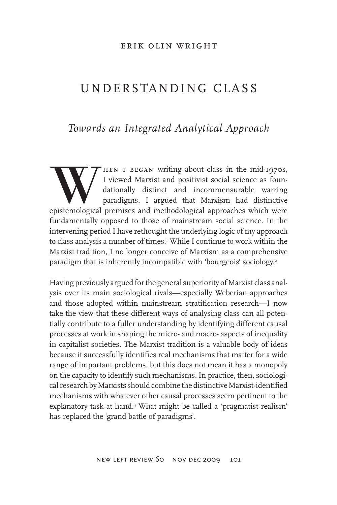#### erik olin wright

# UNDERSTANDING CLASS

### *Towards an Integrated Analytical Approach*

When I BEGAN writing about class in the mid-1970s,<br>I viewed Marxist and positivist social science as foun-<br>dationally distinct and incommensurable warring<br>paradigms. I argued that Marxism had distinctive<br>epistemological pr I viewed Marxist and positivist social science as foundationally distinct and incommensurable warring paradigms. I argued that Marxism had distinctive epistemological premises and methodological approaches which were fundamentally opposed to those of mainstream social science. In the intervening period I have rethought the underlying logic of my approach to class analysis a number of times.1 While I continue to work within the Marxist tradition, I no longer conceive of Marxism as a comprehensive paradigm that is inherently incompatible with 'bourgeois' sociology.<sup>2</sup>

Having previously argued for the general superiority of Marxist class analysis over its main sociological rivals—especially Weberian approaches and those adopted within mainstream stratification research—I now take the view that these different ways of analysing class can all potentially contribute to a fuller understanding by identifying different causal processes at work in shaping the micro- and macro- aspects of inequality in capitalist societies. The Marxist tradition is a valuable body of ideas because it successfully identifies real mechanisms that matter for a wide range of important problems, but this does not mean it has a monopoly on the capacity to identify such mechanisms. In practice, then, sociological research by Marxists should combine the distinctive Marxist-identified mechanisms with whatever other causal processes seem pertinent to the explanatory task at hand.3 What might be called a 'pragmatist realism' has replaced the 'grand battle of paradigms'.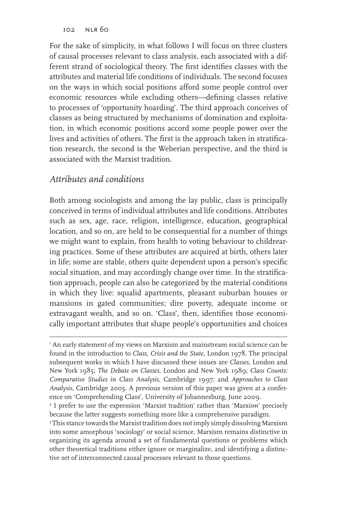For the sake of simplicity, in what follows I will focus on three clusters of causal processes relevant to class analysis, each associated with a different strand of sociological theory. The first identifies classes with the attributes and material life conditions of individuals. The second focuses on the ways in which social positions afford some people control over economic resources while excluding others—defining classes relative to processes of 'opportunity hoarding'. The third approach conceives of classes as being structured by mechanisms of domination and exploitation, in which economic positions accord some people power over the lives and activities of others. The first is the approach taken in stratification research, the second is the Weberian perspective, and the third is associated with the Marxist tradition.

### *Attributes and conditions*

Both among sociologists and among the lay public, class is principally conceived in terms of individual attributes and life conditions. Attributes such as sex, age, race, religion, intelligence, education, geographical location, and so on, are held to be consequential for a number of things we might want to explain, from health to voting behaviour to childrearing practices. Some of these attributes are acquired at birth, others later in life; some are stable, others quite dependent upon a person's specific social situation, and may accordingly change over time. In the stratification approach, people can also be categorized by the material conditions in which they live: squalid apartments, pleasant suburban houses or mansions in gated communities; dire poverty, adequate income or extravagant wealth, and so on. 'Class', then, identifies those economically important attributes that shape people's opportunities and choices

3 This stance towards the Marxist tradition does not imply simply dissolving Marxism into some amorphous 'sociology' or social science. Marxism remains distinctive in organizing its agenda around a set of fundamental questions or problems which other theoretical traditions either ignore or marginalize, and identifying a distinctive set of interconnected causal processes relevant to those questions.

I An early statement of my views on Marxism and mainstream social science can be found in the introduction to *Class, Crisis and the State*, London 1978. The principal subsequent works in which I have discussed these issues are *Classes*, London and New York 1985; *The Debate on Classes*, London and New York 1989; *Class Counts: Comparative Studies in Class Analysis*, Cambridge 1997; and *Approaches to Class Analysis*, Cambridge 2005. A previous version of this paper was given at a conference on 'Comprehending Class', University of Johannesburg, June 2009.

<sup>2</sup> I prefer to use the expression 'Marxist tradition' rather than 'Marx*ism*' precisely because the latter suggests something more like a comprehensive paradigm.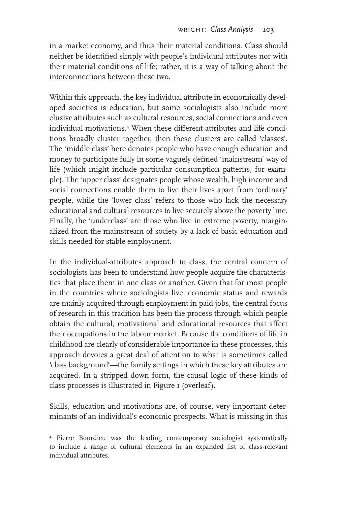in a market economy, and thus their material conditions. Class should neither be identified simply with people's individual attributes nor with their material conditions of life; rather, it is a way of talking about the interconnections between these two.

Within this approach, the key individual attribute in economically developed societies is education, but some sociologists also include more elusive attributes such as cultural resources, social connections and even individual motivations.4 When these different attributes and life conditions broadly cluster together, then these clusters are called 'classes'. The 'middle class' here denotes people who have enough education and money to participate fully in some vaguely defined 'mainstream' way of life (which might include particular consumption patterns, for example). The 'upper class' designates people whose wealth, high income and social connections enable them to live their lives apart from 'ordinary' people, while the 'lower class' refers to those who lack the necessary educational and cultural resources to live securely above the poverty line. Finally, the 'underclass' are those who live in extreme poverty, marginalized from the mainstream of society by a lack of basic education and skills needed for stable employment.

In the individual-attributes approach to class, the central concern of sociologists has been to understand how people acquire the characteristics that place them in one class or another. Given that for most people in the countries where sociologists live, economic status and rewards are mainly acquired through employment in paid jobs, the central focus of research in this tradition has been the process through which people obtain the cultural, motivational and educational resources that affect their occupations in the labour market. Because the conditions of life in childhood are clearly of considerable importance in these processes, this approach devotes a great deal of attention to what is sometimes called 'class background'—the family settings in which these key attributes are acquired. In a stripped down form, the causal logic of these kinds of class processes is illustrated in Figure 1 (overleaf).

Skills, education and motivations are, of course, very important determinants of an individual's economic prospects. What is missing in this

<sup>4</sup> Pierre Bourdieu was the leading contemporary sociologist systematically to include a range of cultural elements in an expanded list of class-relevant individual attributes.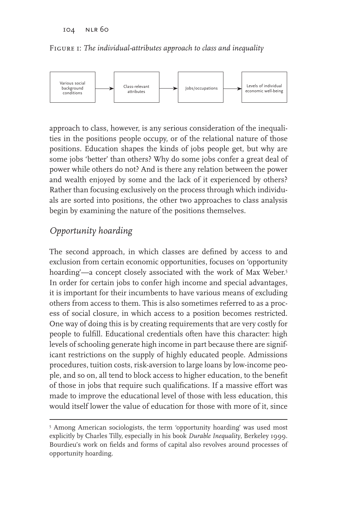Figure 1: *The individual-attributes approach to class and inequality*



approach to class, however, is any serious consideration of the inequalities in the positions people occupy, or of the relational nature of those positions. Education shapes the kinds of jobs people get, but why are some jobs 'better' than others? Why do some jobs confer a great deal of power while others do not? And is there any relation between the power and wealth enjoyed by some and the lack of it experienced by others? Rather than focusing exclusively on the process through which individuals are sorted into positions, the other two approaches to class analysis begin by examining the nature of the positions themselves.

## *Opportunity hoarding*

The second approach, in which classes are defined by access to and exclusion from certain economic opportunities, focuses on 'opportunity hoarding'—a concept closely associated with the work of Max Weber.5 In order for certain jobs to confer high income and special advantages, it is important for their incumbents to have various means of excluding others from access to them. This is also sometimes referred to as a process of social closure, in which access to a position becomes restricted. One way of doing this is by creating requirements that are very costly for people to fulfill. Educational credentials often have this character: high levels of schooling generate high income in part because there are significant restrictions on the supply of highly educated people. Admissions procedures, tuition costs, risk-aversion to large loans by low-income people, and so on, all tend to block access to higher education, to the benefit of those in jobs that require such qualifications. If a massive effort was made to improve the educational level of those with less education, this would itself lower the value of education for those with more of it, since

<sup>&</sup>lt;sup>5</sup> Among American sociologists, the term 'opportunity hoarding' was used most explicitly by Charles Tilly, especially in his book *Durable Inequality*, Berkeley 1999. Bourdieu's work on fields and forms of capital also revolves around processes of opportunity hoarding.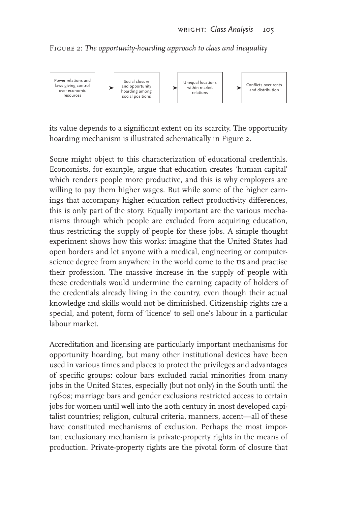Figure 2: *The opportunity-hoarding approach to class and inequality*



its value depends to a significant extent on its scarcity. The opportunity hoarding mechanism is illustrated schematically in Figure 2.

Some might object to this characterization of educational credentials. Economists, for example, argue that education creates 'human capital' which renders people more productive, and this is why employers are willing to pay them higher wages. But while some of the higher earnings that accompany higher education reflect productivity differences, this is only part of the story. Equally important are the various mechanisms through which people are excluded from acquiring education, thus restricting the supply of people for these jobs. A simple thought experiment shows how this works: imagine that the United States had open borders and let anyone with a medical, engineering or computerscience degree from anywhere in the world come to the us and practise their profession. The massive increase in the supply of people with these credentials would undermine the earning capacity of holders of the credentials already living in the country, even though their actual knowledge and skills would not be diminished. Citizenship rights are a special, and potent, form of 'licence' to sell one's labour in a particular labour market.

Accreditation and licensing are particularly important mechanisms for opportunity hoarding, but many other institutional devices have been used in various times and places to protect the privileges and advantages of specific groups: colour bars excluded racial minorities from many jobs in the United States, especially (but not only) in the South until the 1960s; marriage bars and gender exclusions restricted access to certain jobs for women until well into the 20th century in most developed capitalist countries; religion, cultural criteria, manners, accent—all of these have constituted mechanisms of exclusion. Perhaps the most important exclusionary mechanism is private-property rights in the means of production. Private-property rights are the pivotal form of closure that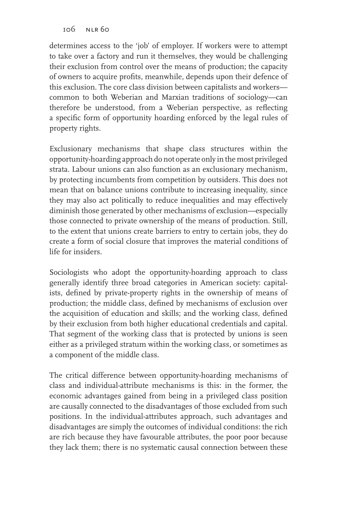determines access to the 'job' of employer. If workers were to attempt to take over a factory and run it themselves, they would be challenging their exclusion from control over the means of production; the capacity of owners to acquire profits, meanwhile, depends upon their defence of this exclusion. The core class division between capitalists and workers common to both Weberian and Marxian traditions of sociology—can therefore be understood, from a Weberian perspective, as reflecting a specific form of opportunity hoarding enforced by the legal rules of property rights.

Exclusionary mechanisms that shape class structures within the opportunity-hoarding approach do not operate only in the most privileged strata. Labour unions can also function as an exclusionary mechanism, by protecting incumbents from competition by outsiders. This does not mean that on balance unions contribute to increasing inequality, since they may also act politically to reduce inequalities and may effectively diminish those generated by other mechanisms of exclusion—especially those connected to private ownership of the means of production. Still, to the extent that unions create barriers to entry to certain jobs, they do create a form of social closure that improves the material conditions of life for insiders.

Sociologists who adopt the opportunity-hoarding approach to class generally identify three broad categories in American society: capitalists, defined by private-property rights in the ownership of means of production; the middle class, defined by mechanisms of exclusion over the acquisition of education and skills; and the working class, defined by their exclusion from both higher educational credentials and capital. That segment of the working class that is protected by unions is seen either as a privileged stratum within the working class, or sometimes as a component of the middle class.

The critical difference between opportunity-hoarding mechanisms of class and individual-attribute mechanisms is this: in the former, the economic advantages gained from being in a privileged class position are causally connected to the disadvantages of those excluded from such positions. In the individual-attributes approach, such advantages and disadvantages are simply the outcomes of individual conditions: the rich are rich because they have favourable attributes, the poor poor because they lack them; there is no systematic causal connection between these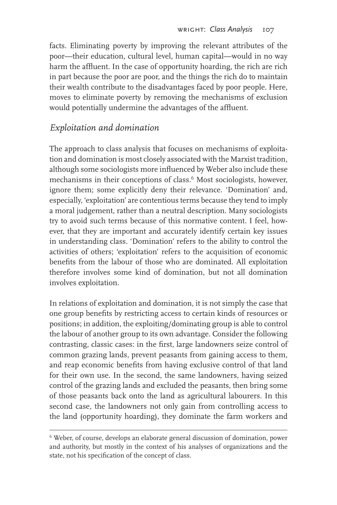facts. Eliminating poverty by improving the relevant attributes of the poor—their education, cultural level, human capital—would in no way harm the affluent. In the case of opportunity hoarding, the rich are rich in part because the poor are poor, and the things the rich do to maintain their wealth contribute to the disadvantages faced by poor people. Here, moves to eliminate poverty by removing the mechanisms of exclusion would potentially undermine the advantages of the affluent.

### *Exploitation and domination*

The approach to class analysis that focuses on mechanisms of exploitation and domination is most closely associated with the Marxist tradition, although some sociologists more influenced by Weber also include these mechanisms in their conceptions of class.<sup>6</sup> Most sociologists, however, ignore them; some explicitly deny their relevance. 'Domination' and, especially, 'exploitation' are contentious terms because they tend to imply a moral judgement, rather than a neutral description. Many sociologists try to avoid such terms because of this normative content. I feel, however, that they are important and accurately identify certain key issues in understanding class. 'Domination' refers to the ability to control the activities of others; 'exploitation' refers to the acquisition of economic benefits from the labour of those who are dominated. All exploitation therefore involves some kind of domination, but not all domination involves exploitation.

In relations of exploitation and domination, it is not simply the case that one group benefits by restricting access to certain kinds of resources or positions; in addition, the exploiting/dominating group is able to control the labour of another group to its own advantage. Consider the following contrasting, classic cases: in the first, large landowners seize control of common grazing lands, prevent peasants from gaining access to them, and reap economic benefits from having exclusive control of that land for their own use. In the second, the same landowners, having seized control of the grazing lands and excluded the peasants, then bring some of those peasants back onto the land as agricultural labourers. In this second case, the landowners not only gain from controlling access to the land (opportunity hoarding), they dominate the farm workers and

<sup>&</sup>lt;sup>6</sup> Weber, of course, develops an elaborate general discussion of domination, power and authority, but mostly in the context of his analyses of organizations and the state, not his specification of the concept of class.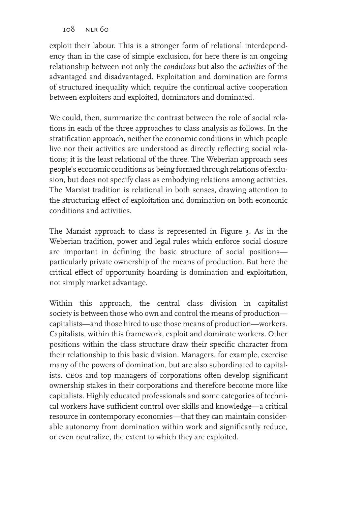exploit their labour. This is a stronger form of relational interdependency than in the case of simple exclusion, for here there is an ongoing relationship between not only the *conditions* but also the *activities* of the advantaged and disadvantaged. Exploitation and domination are forms of structured inequality which require the continual active cooperation between exploiters and exploited, dominators and dominated.

We could, then, summarize the contrast between the role of social relations in each of the three approaches to class analysis as follows. In the stratification approach, neither the economic conditions in which people live nor their activities are understood as directly reflecting social relations; it is the least relational of the three. The Weberian approach sees people's economic conditions as being formed through relations of exclusion, but does not specify class as embodying relations among activities. The Marxist tradition is relational in both senses, drawing attention to the structuring effect of exploitation and domination on both economic conditions and activities.

The Marxist approach to class is represented in Figure 3. As in the Weberian tradition, power and legal rules which enforce social closure are important in defining the basic structure of social positions particularly private ownership of the means of production. But here the critical effect of opportunity hoarding is domination and exploitation, not simply market advantage.

Within this approach, the central class division in capitalist society is between those who own and control the means of production capitalists—and those hired to use those means of production—workers. Capitalists, within this framework, exploit and dominate workers. Other positions within the class structure draw their specific character from their relationship to this basic division. Managers, for example, exercise many of the powers of domination, but are also subordinated to capitalists. ceos and top managers of corporations often develop significant ownership stakes in their corporations and therefore become more like capitalists. Highly educated professionals and some categories of technical workers have sufficient control over skills and knowledge—a critical resource in contemporary economies—that they can maintain considerable autonomy from domination within work and significantly reduce, or even neutralize, the extent to which they are exploited.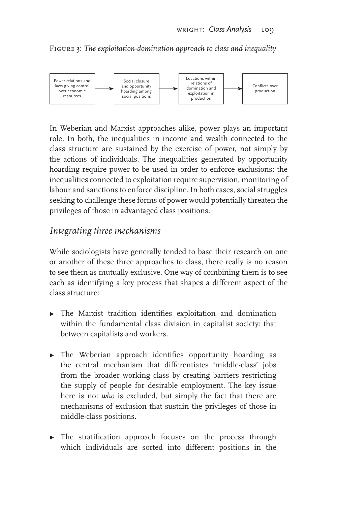Figure 3: *The exploitation-domination approach to class and inequality*



In Weberian and Marxist approaches alike, power plays an important role. In both, the inequalities in income and wealth connected to the class structure are sustained by the exercise of power, not simply by the actions of individuals. The inequalities generated by opportunity hoarding require power to be used in order to enforce exclusions; the inequalities connected to exploitation require supervision, monitoring of labour and sanctions to enforce discipline. In both cases, social struggles seeking to challenge these forms of power would potentially threaten the privileges of those in advantaged class positions.

#### *Integrating three mechanisms*

While sociologists have generally tended to base their research on one or another of these three approaches to class, there really is no reason to see them as mutually exclusive. One way of combining them is to see each as identifying a key process that shapes a different aspect of the class structure:

- $\blacktriangleright$  The Marxist tradition identifies exploitation and domination within the fundamental class division in capitalist society: that between capitalists and workers.
- $\triangleright$  The Weberian approach identifies opportunity hoarding as the central mechanism that differentiates 'middle-class' jobs from the broader working class by creating barriers restricting the supply of people for desirable employment. The key issue here is not *who* is excluded, but simply the fact that there are mechanisms of exclusion that sustain the privileges of those in middle-class positions.
- $\triangleright$  The stratification approach focuses on the process through which individuals are sorted into different positions in the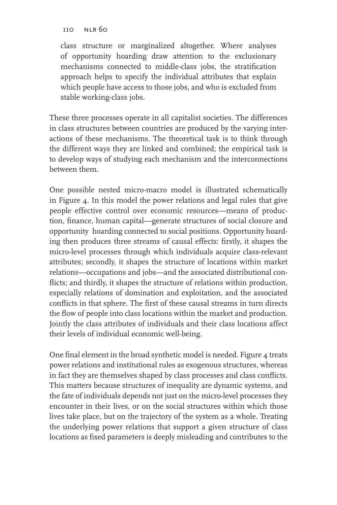class structure or marginalized altogether. Where analyses of opportunity hoarding draw attention to the exclusionary mechanisms connected to middle-class jobs, the stratification approach helps to specify the individual attributes that explain which people have access to those jobs, and who is excluded from stable working-class jobs.

These three processes operate in all capitalist societies. The differences in class structures between countries are produced by the varying interactions of these mechanisms. The theoretical task is to think through the different ways they are linked and combined; the empirical task is to develop ways of studying each mechanism and the interconnections between them.

One possible nested micro-macro model is illustrated schematically in Figure 4. In this model the power relations and legal rules that give people effective control over economic resources—means of production, finance, human capital—generate structures of social closure and opportunity hoarding connected to social positions. Opportunity hoarding then produces three streams of causal effects: firstly, it shapes the micro-level processes through which individuals acquire class-relevant attributes; secondly, it shapes the structure of locations within market relations—occupations and jobs—and the associated distributional conflicts; and thirdly, it shapes the structure of relations within production, especially relations of domination and exploitation, and the associated conflicts in that sphere. The first of these causal streams in turn directs the flow of people into class locations within the market and production. Jointly the class attributes of individuals and their class locations affect their levels of individual economic well-being.

One final element in the broad synthetic model is needed. Figure 4 treats power relations and institutional rules as exogenous structures, whereas in fact they are themselves shaped by class processes and class conflicts. This matters because structures of inequality are dynamic systems, and the fate of individuals depends not just on the micro-level processes they encounter in their lives, or on the social structures within which those lives take place, but on the trajectory of the system as a whole. Treating the underlying power relations that support a given structure of class locations as fixed parameters is deeply misleading and contributes to the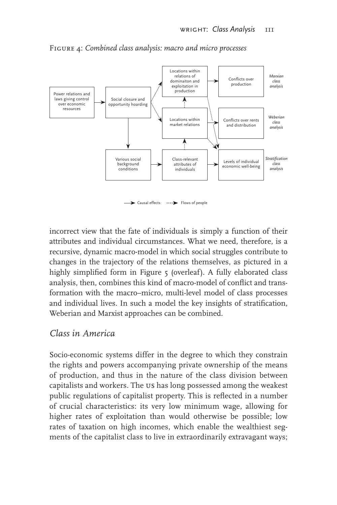

Figure 4: *Combined class analysis: macro and micro processes*

incorrect view that the fate of individuals is simply a function of their attributes and individual circumstances. What we need, therefore, is a recursive, dynamic macro-model in which social struggles contribute to changes in the trajectory of the relations themselves, as pictured in a highly simplified form in Figure 5 (overleaf). A fully elaborated class analysis, then, combines this kind of macro-model of conflict and transformation with the macro–micro, multi-level model of class processes and individual lives. In such a model the key insights of stratification, Weberian and Marxist approaches can be combined.

### *Class in America*

Socio-economic systems differ in the degree to which they constrain the rights and powers accompanying private ownership of the means of production, and thus in the nature of the class division between capitalists and workers. The us has long possessed among the weakest public regulations of capitalist property. This is reflected in a number of crucial characteristics: its very low minimum wage, allowing for higher rates of exploitation than would otherwise be possible; low rates of taxation on high incomes, which enable the wealthiest segments of the capitalist class to live in extraordinarily extravagant ways;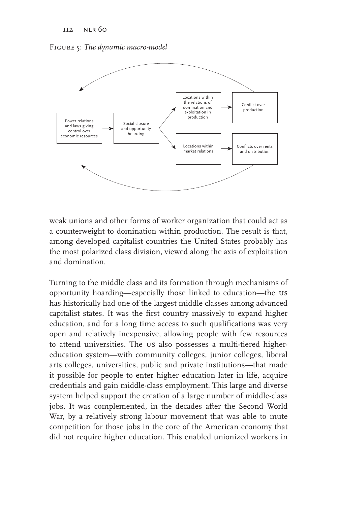Figure 5: *The dynamic macro-model*



weak unions and other forms of worker organization that could act as a counterweight to domination within production. The result is that, among developed capitalist countries the United States probably has the most polarized class division, viewed along the axis of exploitation and domination.

Turning to the middle class and its formation through mechanisms of opportunity hoarding—especially those linked to education—the us has historically had one of the largest middle classes among advanced capitalist states. It was the first country massively to expand higher education, and for a long time access to such qualifications was very open and relatively inexpensive, allowing people with few resources to attend universities. The us also possesses a multi-tiered highereducation system—with community colleges, junior colleges, liberal arts colleges, universities, public and private institutions—that made it possible for people to enter higher education later in life, acquire credentials and gain middle-class employment. This large and diverse system helped support the creation of a large number of middle-class jobs. It was complemented, in the decades after the Second World War, by a relatively strong labour movement that was able to mute competition for those jobs in the core of the American economy that did not require higher education. This enabled unionized workers in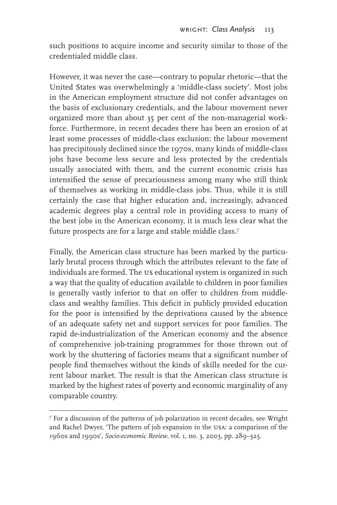such positions to acquire income and security similar to those of the credentialed middle class.

However, it was never the case—contrary to popular rhetoric—that the United States was overwhelmingly a 'middle-class society'. Most jobs in the American employment structure did not confer advantages on the basis of exclusionary credentials, and the labour movement never organized more than about 35 per cent of the non-managerial workforce. Furthermore, in recent decades there has been an erosion of at least some processes of middle-class exclusion: the labour movement has precipitously declined since the 1970s, many kinds of middle-class jobs have become less secure and less protected by the credentials usually associated with them, and the current economic crisis has intensified the sense of precariousness among many who still think of themselves as working in middle-class jobs. Thus, while it is still certainly the case that higher education and, increasingly, advanced academic degrees play a central role in providing access to many of the best jobs in the American economy, it is much less clear what the future prospects are for a large and stable middle class.<sup>7</sup>

Finally, the American class structure has been marked by the particularly brutal process through which the attributes relevant to the fate of individuals are formed. The us educational system is organized in such a way that the quality of education available to children in poor families is generally vastly inferior to that on offer to children from middleclass and wealthy families. This deficit in publicly provided education for the poor is intensified by the deprivations caused by the absence of an adequate safety net and support services for poor families. The rapid de-industrialization of the American economy and the absence of comprehensive job-training programmes for those thrown out of work by the shuttering of factories means that a significant number of people find themselves without the kinds of skills needed for the current labour market. The result is that the American class structure is marked by the highest rates of poverty and economic marginality of any comparable country.

<sup>7</sup> For a discussion of the patterns of job polarization in recent decades, see Wright and Rachel Dwyer, 'The pattern of job expansion in the usa: a comparison of the 1960s and 1990s', *Socio-economic Review*, vol. 1, no. 3, 2003, pp. 289–325.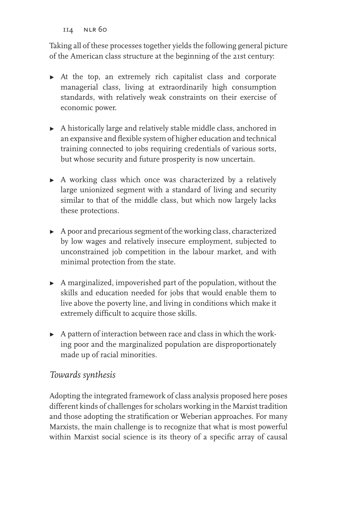Taking all of these processes together yields the following general picture of the American class structure at the beginning of the 21st century:

- $\triangleright$  At the top, an extremely rich capitalist class and corporate managerial class, living at extraordinarily high consumption standards, with relatively weak constraints on their exercise of economic power.
- $\blacktriangleright$  A historically large and relatively stable middle class, anchored in an expansive and flexible system of higher education and technical training connected to jobs requiring credentials of various sorts, but whose security and future prosperity is now uncertain.
- $\triangleright$  A working class which once was characterized by a relatively large unionized segment with a standard of living and security similar to that of the middle class, but which now largely lacks these protections.
- $\blacktriangleright$  A poor and precarious segment of the working class, characterized by low wages and relatively insecure employment, subjected to unconstrained job competition in the labour market, and with minimal protection from the state.
- $\blacktriangleright$  A marginalized, impoverished part of the population, without the skills and education needed for jobs that would enable them to live above the poverty line, and living in conditions which make it extremely difficult to acquire those skills.
- $\triangleright$  A pattern of interaction between race and class in which the working poor and the marginalized population are disproportionately made up of racial minorities.

### *Towards synthesis*

Adopting the integrated framework of class analysis proposed here poses different kinds of challenges for scholars working in the Marxist tradition and those adopting the stratification or Weberian approaches. For many Marxists, the main challenge is to recognize that what is most powerful within Marxist social science is its theory of a specific array of causal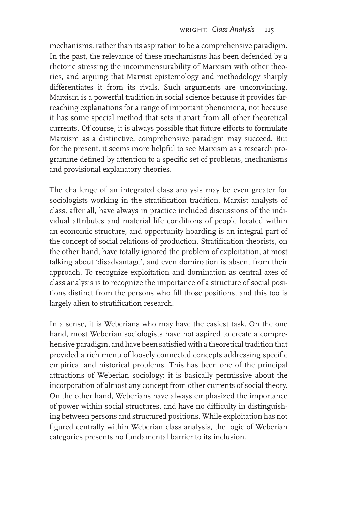mechanisms, rather than its aspiration to be a comprehensive paradigm. In the past, the relevance of these mechanisms has been defended by a rhetoric stressing the incommensurability of Marxism with other theories, and arguing that Marxist epistemology and methodology sharply differentiates it from its rivals. Such arguments are unconvincing. Marxism is a powerful tradition in social science because it provides farreaching explanations for a range of important phenomena, not because it has some special method that sets it apart from all other theoretical currents. Of course, it is always possible that future efforts to formulate Marxism as a distinctive, comprehensive paradigm may succeed. But for the present, it seems more helpful to see Marxism as a research programme defined by attention to a specific set of problems, mechanisms and provisional explanatory theories.

The challenge of an integrated class analysis may be even greater for sociologists working in the stratification tradition. Marxist analysts of class, after all, have always in practice included discussions of the individual attributes and material life conditions of people located within an economic structure, and opportunity hoarding is an integral part of the concept of social relations of production. Stratification theorists, on the other hand, have totally ignored the problem of exploitation, at most talking about 'disadvantage', and even domination is absent from their approach. To recognize exploitation and domination as central axes of class analysis is to recognize the importance of a structure of social positions distinct from the persons who fill those positions, and this too is largely alien to stratification research.

In a sense, it is Weberians who may have the easiest task. On the one hand, most Weberian sociologists have not aspired to create a comprehensive paradigm, and have been satisfied with a theoretical tradition that provided a rich menu of loosely connected concepts addressing specific empirical and historical problems. This has been one of the principal attractions of Weberian sociology: it is basically permissive about the incorporation of almost any concept from other currents of social theory. On the other hand, Weberians have always emphasized the importance of power within social structures, and have no difficulty in distinguishing between persons and structured positions. While exploitation has not figured centrally within Weberian class analysis, the logic of Weberian categories presents no fundamental barrier to its inclusion.